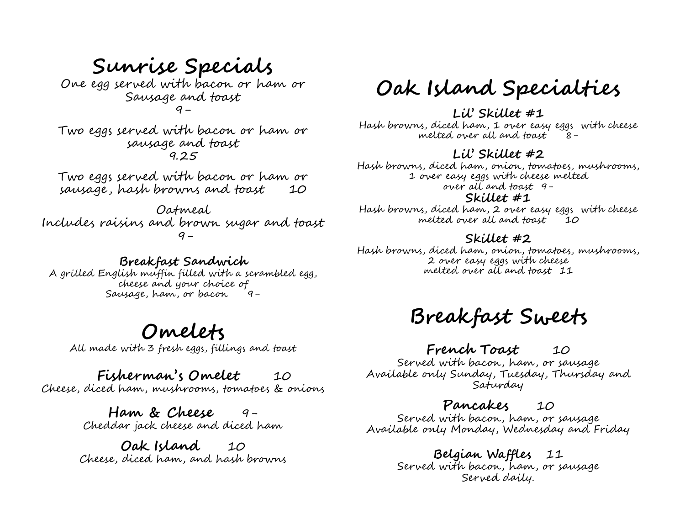# **Sunrise Specials**

One egg served with bacon or ham or Sausage and toast 9-

Two eggs served with bacon or ham or sausage and toast 9.25

Two eggs served with bacon or ham or sausage , hash browns and toast 10

Oatmeal Includes raisins and brown sugar and toast  $q -$ 

#### **Breakfast Sandwich**

A grilled English muffin filled with a scrambled egg, cheese and your choice of Sausage, ham, or bacon 9-

## **Omelets**

All made with 3 fresh eggs, fillings and toast

## **Fisherman's Omelet** 10

Cheese, diced ham, mushrooms, tomatoes & onions

**Ham & Cheese** 9- Cheddar jack cheese and diced ham

**Oak Island** 10 Cheese, diced ham, and hash browns

# **Oak Island Specialties**

#### **Lil' Skillet #1**

Hash browns, diced ham, 1 over easy eggs with cheese melted over all and toast 8-

#### **Lil' Skillet #2**

Hash browns, diced ham, onion, tomatoes, mushrooms, 1 over easy eggs with cheese melted over all and toast 9-

#### **Skillet #1**

Hash browns, diced ham, 2 over easy eggs with cheese melted over all and toast  $10$ 

#### **Skillet #2**

Hash browns, diced ham, onion, tomatoes, mushrooms, 2 over easy eggs with cheese melted over all and toast 11

# **Breakfast Sweets**

### **French Toast** 10

Served with bacon, ham, or sausage Available only Sunday, Tuesday, Thursday and Saturday

### **Pancakes** 10

Served with bacon, ham, or sausage Available only Monday, Wednesday and Friday

### **Belgian Waffles** 11

Served with bacon, ham, or sausage Served daily.